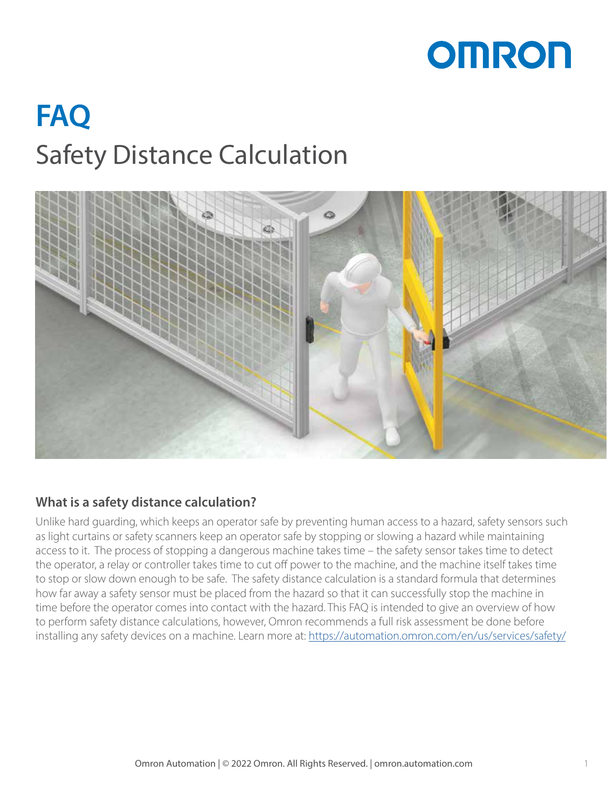# **OMRON**

# **FAQ** Safety Distance Calculation



# **What is a safety distance calculation?**

Unlike hard guarding, which keeps an operator safe by preventing human access to a hazard, safety sensors such as light curtains or safety scanners keep an operator safe by stopping or slowing a hazard while maintaining access to it. The process of stopping a dangerous machine takes time – the safety sensor takes time to detect the operator, a relay or controller takes time to cut off power to the machine, and the machine itself takes time to stop or slow down enough to be safe. The safety distance calculation is a standard formula that determines how far away a safety sensor must be placed from the hazard so that it can successfully stop the machine in time before the operator comes into contact with the hazard. This FAQ is intended to give an overview of how to perform safety distance calculations, however, Omron recommends a full risk assessment be done before installing any safety devices on a machine. Learn more at:<https://automation.omron.com/en/us/services/safety/>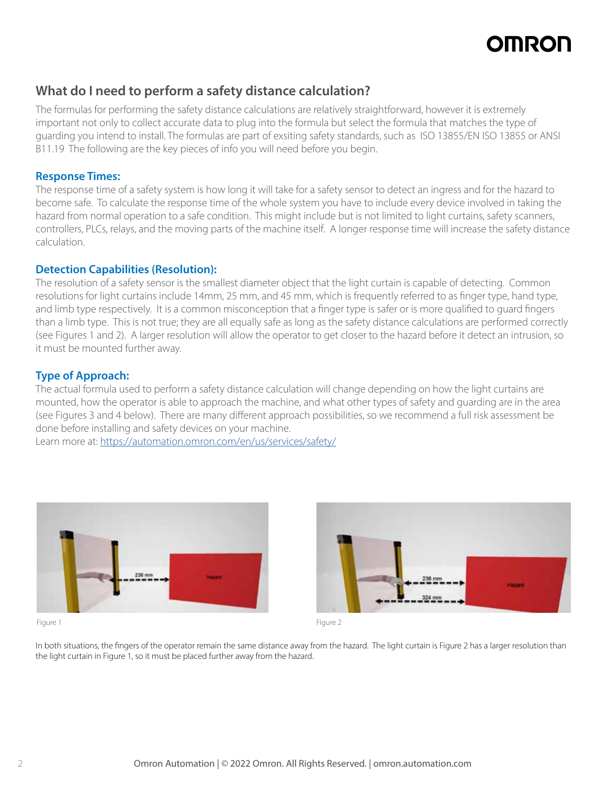# **OMROI**

# **What do I need to perform a safety distance calculation?**

The formulas for performing the safety distance calculations are relatively straightforward, however it is extremely important not only to collect accurate data to plug into the formula but select the formula that matches the type of guarding you intend to install. The formulas are part of exsiting safety standards, such as ISO 13855/EN ISO 13855 or ANSI B11.19 The following are the key pieces of info you will need before you begin.

### **Response Times:**

The response time of a safety system is how long it will take for a safety sensor to detect an ingress and for the hazard to become safe. To calculate the response time of the whole system you have to include every device involved in taking the hazard from normal operation to a safe condition. This might include but is not limited to light curtains, safety scanners, controllers, PLCs, relays, and the moving parts of the machine itself. A longer response time will increase the safety distance calculation.

### **Detection Capabilities (Resolution):**

The resolution of a safety sensor is the smallest diameter object that the light curtain is capable of detecting. Common resolutions for light curtains include 14mm, 25 mm, and 45 mm, which is frequently referred to as finger type, hand type, and limb type respectively. It is a common misconception that a finger type is safer or is more qualified to guard fingers than a limb type. This is not true; they are all equally safe as long as the safety distance calculations are performed correctly (see Figures 1 and 2). A larger resolution will allow the operator to get closer to the hazard before it detect an intrusion, so it must be mounted further away.

## **Type of Approach:**

The actual formula used to perform a safety distance calculation will change depending on how the light curtains are mounted, how the operator is able to approach the machine, and what other types of safety and guarding are in the area (see Figures 3 and 4 below). There are many different approach possibilities, so we recommend a full risk assessment be done before installing and safety devices on your machine.

Learn more at:<https://automation.omron.com/en/us/services/safety/>





In both situations, the fingers of the operator remain the same distance away from the hazard. The light curtain is Figure 2 has a larger resolution than the light curtain in Figure 1, so it must be placed further away from the hazard.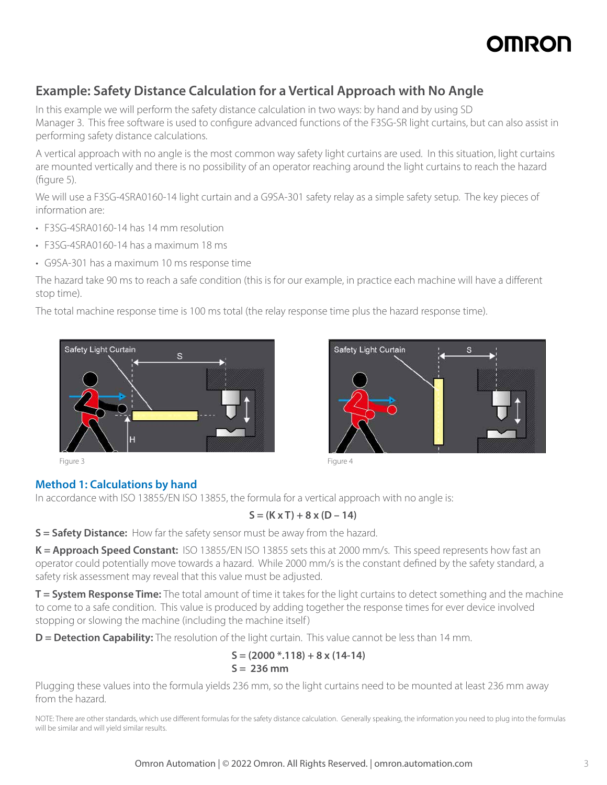# **OMROI**

# **Example: Safety Distance Calculation for a Vertical Approach with No Angle**

In this example we will perform the safety distance calculation in two ways: by hand and by using SD Manager 3. This free software is used to configure advanced functions of the F3SG-SR light curtains, but can also assist in performing safety distance calculations.

A vertical approach with no angle is the most common way safety light curtains are used. In this situation, light curtains are mounted vertically and there is no possibility of an operator reaching around the light curtains to reach the hazard (figure 5).

We will use a F3SG-4SRA0160-14 light curtain and a G9SA-301 safety relay as a simple safety setup. The key pieces of information are:

- F3SG-4SRA0160-14 has 14 mm resolution
- F3SG-4SRA0160-14 has a maximum 18 ms
- G9SA-301 has a maximum 10 ms response time

The hazard take 90 ms to reach a safe condition (this is for our example, in practice each machine will have a different stop time).

The total machine response time is 100 ms total (the relay response time plus the hazard response time).



# **Method 1: Calculations by hand**

In accordance with ISO 13855/EN ISO 13855, the formula for a vertical approach with no angle is:

## $S = (K \times T) + 8 \times (D - 14)$

**S = Safety Distance:** How far the safety sensor must be away from the hazard.

**K = Approach Speed Constant:** ISO 13855/EN ISO 13855 sets this at 2000 mm/s. This speed represents how fast an operator could potentially move towards a hazard. While 2000 mm/s is the constant defined by the safety standard, a safety risk assessment may reveal that this value must be adjusted.

**T = System Response Time:** The total amount of time it takes for the light curtains to detect something and the machine to come to a safe condition. This value is produced by adding together the response times for ever device involved stopping or slowing the machine (including the machine itself)

**D** = Detection Capability: The resolution of the light curtain. This value cannot be less than 14 mm.

### **S = (2000 \*.118) + 8 x (14-14) S = 236 mm**

Plugging these values into the formula yields 236 mm, so the light curtains need to be mounted at least 236 mm away from the hazard.

NOTE: There are other standards, which use different formulas for the safety distance calculation. Generally speaking, the information you need to plug into the formulas will be similar and will yield similar results.



 $\mathbf{s}$ 

Safety Light Curtain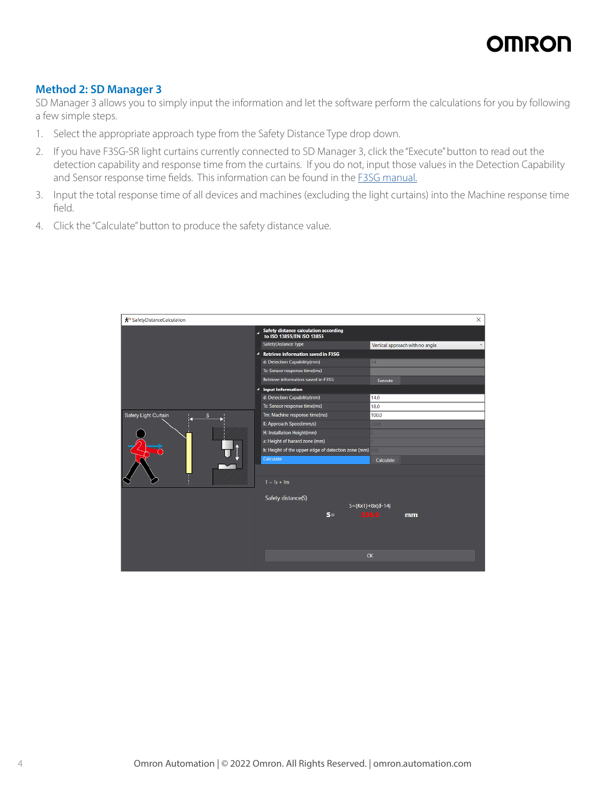# **OMRON**

## **Method 2: SD Manager 3**

SD Manager 3 allows you to simply input the information and let the software perform the calculations for you by following a few simple steps.

- 1. Select the appropriate approach type from the Safety Distance Type drop down.
- 2. If you have F3SG-SR light curtains currently connected to SD Manager 3, click the "Execute" button to read out the detection capability and response time from the curtains. If you do not, input those values in the Detection Capability and Sensor response time fields. This information can be found in the [F3SG manual.](https://assets.omron.com/m/1f2f85ffac58aff3/original/F3SG-SR-Series-User-s-Manual.pdf)
- 3. Input the total response time of all devices and machines (excluding the light curtains) into the Machine response time field.
- 4. Click the "Calculate" button to produce the safety distance value.